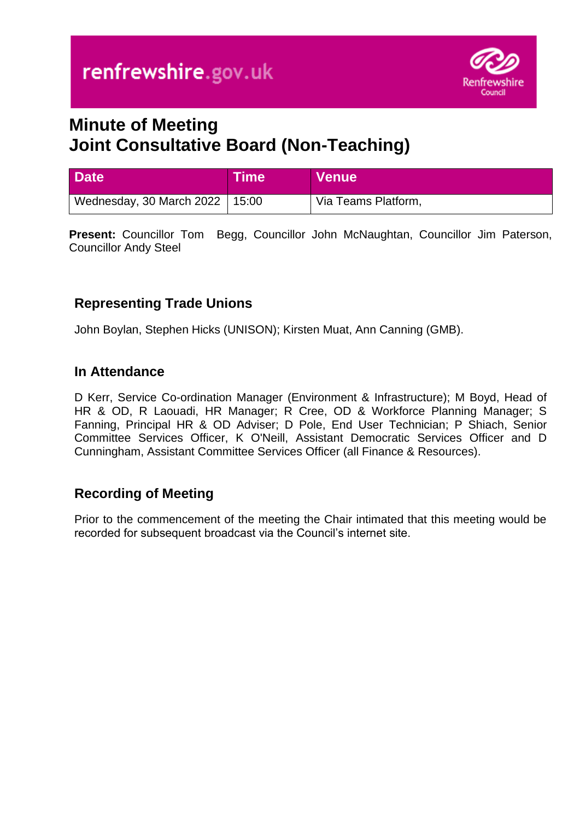

# **Minute of Meeting Joint Consultative Board (Non-Teaching)**

| <b>Date</b>                                   | Time | <b>Venue</b>        |
|-----------------------------------------------|------|---------------------|
| <sup>∣</sup> Wednesday, 30 March 2022   15:00 |      | Via Teams Platform, |

**Present:** Councillor Tom Begg, Councillor John McNaughtan, Councillor Jim Paterson, Councillor Andy Steel

# **Representing Trade Unions**

John Boylan, Stephen Hicks (UNISON); Kirsten Muat, Ann Canning (GMB).

## **In Attendance**

D Kerr, Service Co-ordination Manager (Environment & Infrastructure); M Boyd, Head of HR & OD, R Laouadi, HR Manager; R Cree, OD & Workforce Planning Manager; S Fanning, Principal HR & OD Adviser; D Pole, End User Technician; P Shiach, Senior Committee Services Officer, K O'Neill, Assistant Democratic Services Officer and D Cunningham, Assistant Committee Services Officer (all Finance & Resources).

# **Recording of Meeting**

Prior to the commencement of the meeting the Chair intimated that this meeting would be recorded for subsequent broadcast via the Council's internet site.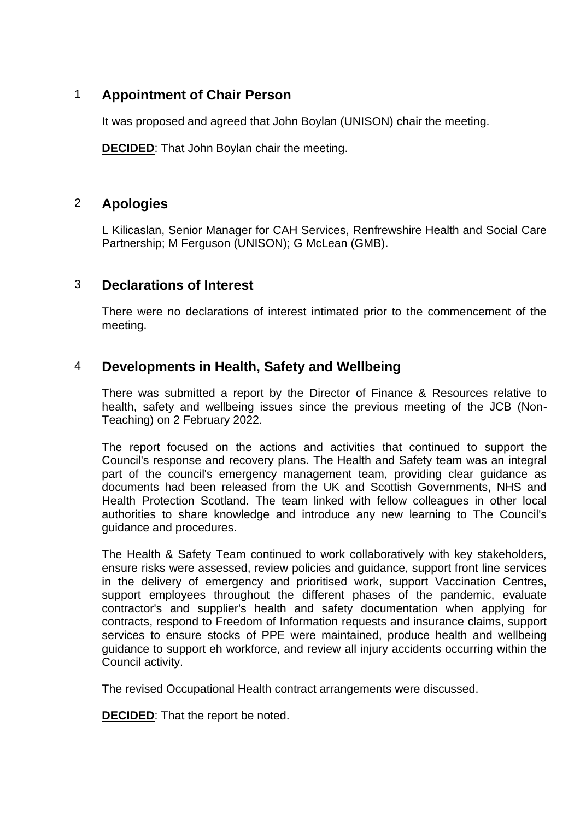## 1 **Appointment of Chair Person**

It was proposed and agreed that John Boylan (UNISON) chair the meeting.

**DECIDED**: That John Boylan chair the meeting.

## 2 **Apologies**

L Kilicaslan, Senior Manager for CAH Services, Renfrewshire Health and Social Care Partnership; M Ferguson (UNISON); G McLean (GMB).

#### 3 **Declarations of Interest**

There were no declarations of interest intimated prior to the commencement of the meeting.

## 4 **Developments in Health, Safety and Wellbeing**

There was submitted a report by the Director of Finance & Resources relative to health, safety and wellbeing issues since the previous meeting of the JCB (Non-Teaching) on 2 February 2022.

The report focused on the actions and activities that continued to support the Council's response and recovery plans. The Health and Safety team was an integral part of the council's emergency management team, providing clear guidance as documents had been released from the UK and Scottish Governments, NHS and Health Protection Scotland. The team linked with fellow colleagues in other local authorities to share knowledge and introduce any new learning to The Council's guidance and procedures.

The Health & Safety Team continued to work collaboratively with key stakeholders, ensure risks were assessed, review policies and guidance, support front line services in the delivery of emergency and prioritised work, support Vaccination Centres, support employees throughout the different phases of the pandemic, evaluate contractor's and supplier's health and safety documentation when applying for contracts, respond to Freedom of Information requests and insurance claims, support services to ensure stocks of PPE were maintained, produce health and wellbeing guidance to support eh workforce, and review all injury accidents occurring within the Council activity.

The revised Occupational Health contract arrangements were discussed.

**DECIDED**: That the report be noted.